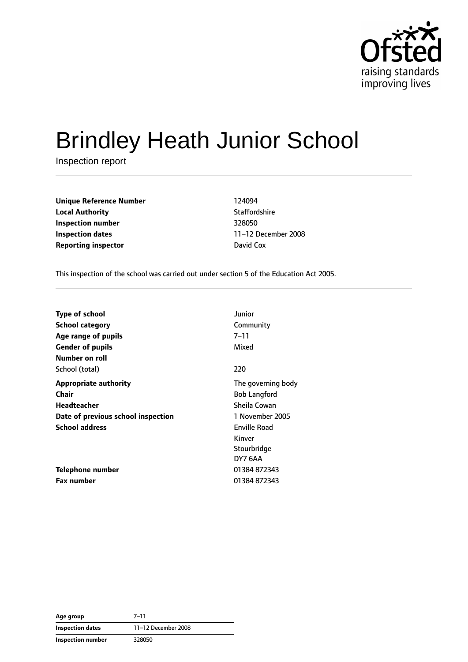

# Brindley Heath Junior School

Inspection report

**Unique Reference Number** 124094 **Local Authority Contract Contract Contract Authority** Staffordshire **Inspection number** 328050 **Inspection dates** 11–12 December 2008 **Reporting inspector David Cox** 

This inspection of the school was carried out under section 5 of the Education Act 2005.

| <b>Type of school</b>              | Junior              |
|------------------------------------|---------------------|
| <b>School category</b>             | Community           |
| Age range of pupils                | 7–11                |
| <b>Gender of pupils</b>            | Mixed               |
| Number on roll                     |                     |
| School (total)                     | 220                 |
| <b>Appropriate authority</b>       | The governing body  |
| Chair                              | <b>Bob Langford</b> |
| Headteacher                        | Sheila Cowan        |
| Date of previous school inspection | 1 November 2005     |
| <b>School address</b>              | Enville Road        |
|                                    | Kinver              |
|                                    | Stourbridge         |
|                                    | DY7 6AA             |
| Telephone number                   | 01384 872343        |
| <b>Fax number</b>                  | 01384872343         |

**Age group** 7–11 **Inspection dates** 11–12 December 2008 **Inspection number** 328050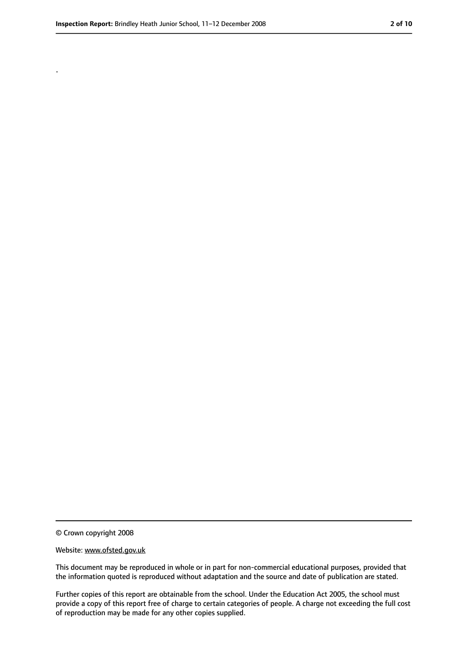.

<sup>©</sup> Crown copyright 2008

Website: www.ofsted.gov.uk

This document may be reproduced in whole or in part for non-commercial educational purposes, provided that the information quoted is reproduced without adaptation and the source and date of publication are stated.

Further copies of this report are obtainable from the school. Under the Education Act 2005, the school must provide a copy of this report free of charge to certain categories of people. A charge not exceeding the full cost of reproduction may be made for any other copies supplied.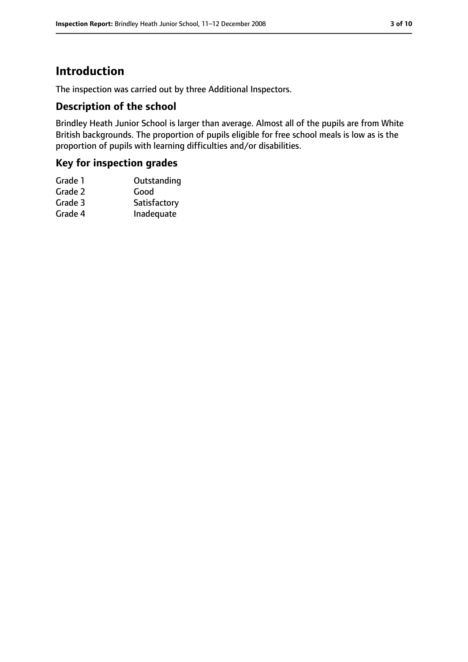# **Introduction**

The inspection was carried out by three Additional Inspectors.

### **Description of the school**

Brindley Heath Junior School is larger than average. Almost all of the pupils are from White British backgrounds. The proportion of pupils eligible for free school meals is low as is the proportion of pupils with learning difficulties and/or disabilities.

## **Key for inspection grades**

| Grade 1 | Outstanding  |
|---------|--------------|
| Grade 2 | Good         |
| Grade 3 | Satisfactory |
| Grade 4 | Inadequate   |
|         |              |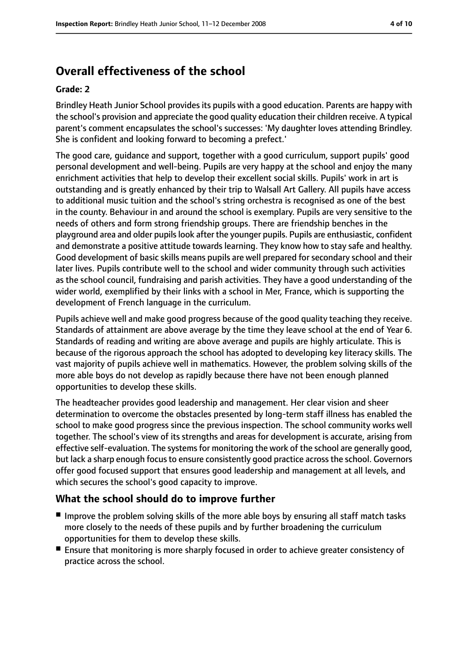# **Overall effectiveness of the school**

#### **Grade: 2**

Brindley Heath Junior School provides its pupils with a good education. Parents are happy with the school's provision and appreciate the good quality education their children receive. A typical parent's comment encapsulates the school's successes: 'My daughter loves attending Brindley. She is confident and looking forward to becoming a prefect.'

The good care, guidance and support, together with a good curriculum, support pupils' good personal development and well-being. Pupils are very happy at the school and enjoy the many enrichment activities that help to develop their excellent social skills. Pupils' work in art is outstanding and is greatly enhanced by their trip to Walsall Art Gallery. All pupils have access to additional music tuition and the school's string orchestra is recognised as one of the best in the county. Behaviour in and around the school is exemplary. Pupils are very sensitive to the needs of others and form strong friendship groups. There are friendship benches in the playground area and older pupilslook after the younger pupils. Pupils are enthusiastic, confident and demonstrate a positive attitude towards learning. They know how to stay safe and healthy. Good development of basic skills means pupils are well prepared for secondary school and their later lives. Pupils contribute well to the school and wider community through such activities as the school council, fundraising and parish activities. They have a good understanding of the wider world, exemplified by their links with a school in Mer, France, which is supporting the development of French language in the curriculum.

Pupils achieve well and make good progress because of the good quality teaching they receive. Standards of attainment are above average by the time they leave school at the end of Year 6. Standards of reading and writing are above average and pupils are highly articulate. This is because of the rigorous approach the school has adopted to developing key literacy skills. The vast majority of pupils achieve well in mathematics. However, the problem solving skills of the more able boys do not develop as rapidly because there have not been enough planned opportunities to develop these skills.

The headteacher provides good leadership and management. Her clear vision and sheer determination to overcome the obstacles presented by long-term staff illness has enabled the school to make good progress since the previous inspection. The school community works well together. The school's view of its strengths and areas for development is accurate, arising from effective self-evaluation. The systems for monitoring the work of the school are generally good, but lack a sharp enough focus to ensure consistently good practice across the school. Governors offer good focused support that ensures good leadership and management at all levels, and which secures the school's good capacity to improve.

## **What the school should do to improve further**

- Improve the problem solving skills of the more able boys by ensuring all staff match tasks more closely to the needs of these pupils and by further broadening the curriculum opportunities for them to develop these skills.
- Ensure that monitoring is more sharply focused in order to achieve greater consistency of practice across the school.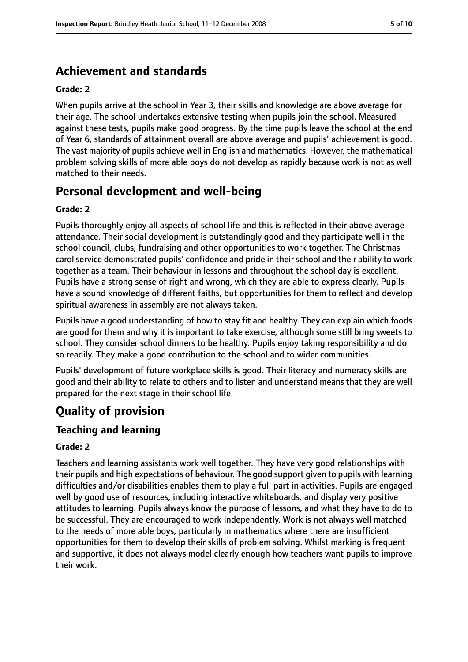# **Achievement and standards**

#### **Grade: 2**

When pupils arrive at the school in Year 3, their skills and knowledge are above average for their age. The school undertakes extensive testing when pupils join the school. Measured against these tests, pupils make good progress. By the time pupils leave the school at the end of Year 6, standards of attainment overall are above average and pupils' achievement is good. The vast majority of pupils achieve well in English and mathematics. However, the mathematical problem solving skills of more able boys do not develop as rapidly because work is not as well matched to their needs.

# **Personal development and well-being**

#### **Grade: 2**

Pupils thoroughly enjoy all aspects of school life and this is reflected in their above average attendance. Their social development is outstandingly good and they participate well in the school council, clubs, fundraising and other opportunities to work together. The Christmas carol service demonstrated pupils' confidence and pride in their school and their ability to work together as a team. Their behaviour in lessons and throughout the school day is excellent. Pupils have a strong sense of right and wrong, which they are able to express clearly. Pupils have a sound knowledge of different faiths, but opportunities for them to reflect and develop spiritual awareness in assembly are not always taken.

Pupils have a good understanding of how to stay fit and healthy. They can explain which foods are good for them and why it is important to take exercise, although some still bring sweets to school. They consider school dinners to be healthy. Pupils enjoy taking responsibility and do so readily. They make a good contribution to the school and to wider communities.

Pupils' development of future workplace skills is good. Their literacy and numeracy skills are good and their ability to relate to others and to listen and understand means that they are well prepared for the next stage in their school life.

# **Quality of provision**

#### **Teaching and learning**

#### **Grade: 2**

Teachers and learning assistants work well together. They have very good relationships with their pupils and high expectations of behaviour. The good support given to pupils with learning difficulties and/or disabilities enables them to play a full part in activities. Pupils are engaged well by good use of resources, including interactive whiteboards, and display very positive attitudes to learning. Pupils always know the purpose of lessons, and what they have to do to be successful. They are encouraged to work independently. Work is not always well matched to the needs of more able boys, particularly in mathematics where there are insufficient opportunities for them to develop their skills of problem solving. Whilst marking is frequent and supportive, it does not always model clearly enough how teachers want pupils to improve their work.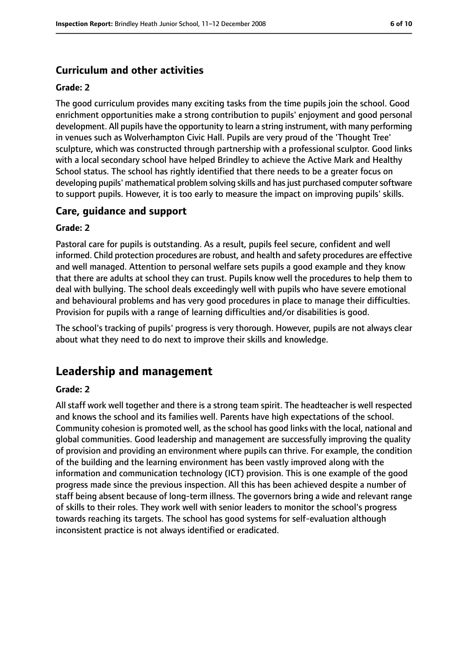## **Curriculum and other activities**

#### **Grade: 2**

The good curriculum provides many exciting tasks from the time pupils join the school. Good enrichment opportunities make a strong contribution to pupils' enjoyment and good personal development. All pupils have the opportunity to learn a string instrument, with many performing in venues such as Wolverhampton Civic Hall. Pupils are very proud of the 'Thought Tree' sculpture, which was constructed through partnership with a professional sculptor. Good links with a local secondary school have helped Brindley to achieve the Active Mark and Healthy School status. The school has rightly identified that there needs to be a greater focus on developing pupils' mathematical problem solving skills and has just purchased computer software to support pupils. However, it is too early to measure the impact on improving pupils' skills.

#### **Care, guidance and support**

#### **Grade: 2**

Pastoral care for pupils is outstanding. As a result, pupils feel secure, confident and well informed. Child protection procedures are robust, and health and safety procedures are effective and well managed. Attention to personal welfare sets pupils a good example and they know that there are adults at school they can trust. Pupils know well the procedures to help them to deal with bullying. The school deals exceedingly well with pupils who have severe emotional and behavioural problems and has very good procedures in place to manage their difficulties. Provision for pupils with a range of learning difficulties and/or disabilities is good.

The school's tracking of pupils' progress is very thorough. However, pupils are not always clear about what they need to do next to improve their skills and knowledge.

# **Leadership and management**

#### **Grade: 2**

All staff work well together and there is a strong team spirit. The headteacher is well respected and knows the school and its families well. Parents have high expectations of the school. Community cohesion is promoted well, as the school has good links with the local, national and global communities. Good leadership and management are successfully improving the quality of provision and providing an environment where pupils can thrive. For example, the condition of the building and the learning environment has been vastly improved along with the information and communication technology (ICT) provision. This is one example of the good progress made since the previous inspection. All this has been achieved despite a number of staff being absent because of long-term illness. The governors bring a wide and relevant range of skills to their roles. They work well with senior leaders to monitor the school's progress towards reaching its targets. The school has good systems for self-evaluation although inconsistent practice is not always identified or eradicated.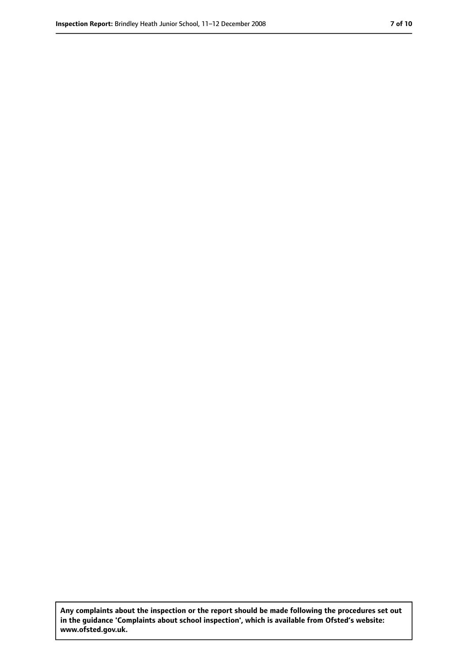**Any complaints about the inspection or the report should be made following the procedures set out in the guidance 'Complaints about school inspection', which is available from Ofsted's website: www.ofsted.gov.uk.**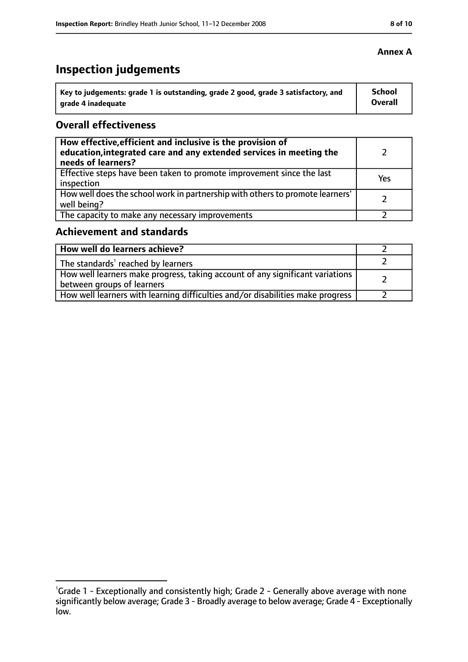# **Inspection judgements**

| Key to judgements: grade 1 is outstanding, grade 2 good, grade 3 satisfactory, and | School  |
|------------------------------------------------------------------------------------|---------|
| arade 4 inadequate                                                                 | Overall |

## **Overall effectiveness**

| How effective, efficient and inclusive is the provision of<br>education, integrated care and any extended services in meeting the<br>needs of learners? |     |
|---------------------------------------------------------------------------------------------------------------------------------------------------------|-----|
| Effective steps have been taken to promote improvement since the last<br>inspection                                                                     | Yes |
| How well does the school work in partnership with others to promote learners'<br>well being?                                                            |     |
| The capacity to make any necessary improvements                                                                                                         |     |

# **Achievement and standards**

| How well do learners achieve?                                                                                 |  |
|---------------------------------------------------------------------------------------------------------------|--|
| $\vert$ The standards <sup>1</sup> reached by learners                                                        |  |
| How well learners make progress, taking account of any significant variations  <br>between groups of learners |  |
| How well learners with learning difficulties and/or disabilities make progress                                |  |

<sup>&</sup>lt;sup>1</sup>Grade 1 - Exceptionally and consistently high; Grade 2 - Generally above average with none significantly below average; Grade 3 - Broadly average to below average; Grade 4 - Exceptionally low.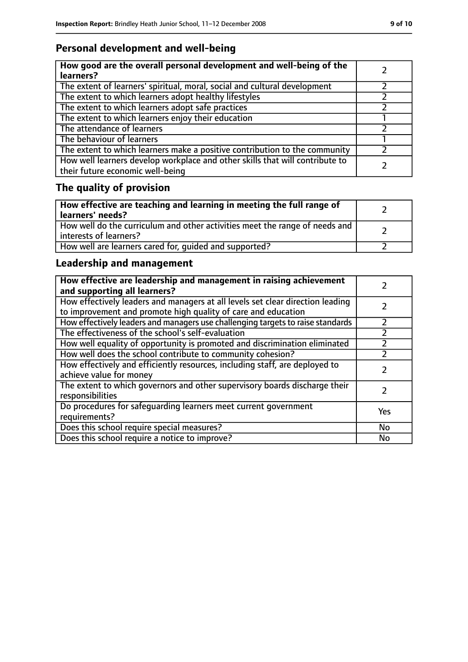## **Personal development and well-being**

| How good are the overall personal development and well-being of the<br>learners?                                 |  |
|------------------------------------------------------------------------------------------------------------------|--|
| The extent of learners' spiritual, moral, social and cultural development                                        |  |
| The extent to which learners adopt healthy lifestyles                                                            |  |
| The extent to which learners adopt safe practices                                                                |  |
| The extent to which learners enjoy their education                                                               |  |
| The attendance of learners                                                                                       |  |
| The behaviour of learners                                                                                        |  |
| The extent to which learners make a positive contribution to the community                                       |  |
| How well learners develop workplace and other skills that will contribute to<br>their future economic well-being |  |

# **The quality of provision**

| How effective are teaching and learning in meeting the full range of<br>learners' needs?              |  |
|-------------------------------------------------------------------------------------------------------|--|
| How well do the curriculum and other activities meet the range of needs and<br>interests of learners? |  |
| How well are learners cared for, quided and supported?                                                |  |

## **Leadership and management**

| How effective are leadership and management in raising achievement<br>and supporting all learners?                                              |           |
|-------------------------------------------------------------------------------------------------------------------------------------------------|-----------|
| How effectively leaders and managers at all levels set clear direction leading<br>to improvement and promote high quality of care and education |           |
| How effectively leaders and managers use challenging targets to raise standards                                                                 | フ         |
| The effectiveness of the school's self-evaluation                                                                                               |           |
| How well equality of opportunity is promoted and discrimination eliminated                                                                      |           |
| How well does the school contribute to community cohesion?                                                                                      |           |
| How effectively and efficiently resources, including staff, are deployed to<br>achieve value for money                                          |           |
| The extent to which governors and other supervisory boards discharge their<br>responsibilities                                                  |           |
| Do procedures for safequarding learners meet current government<br>requirements?                                                                | Yes       |
| Does this school require special measures?                                                                                                      | <b>No</b> |
| Does this school require a notice to improve?                                                                                                   | No        |